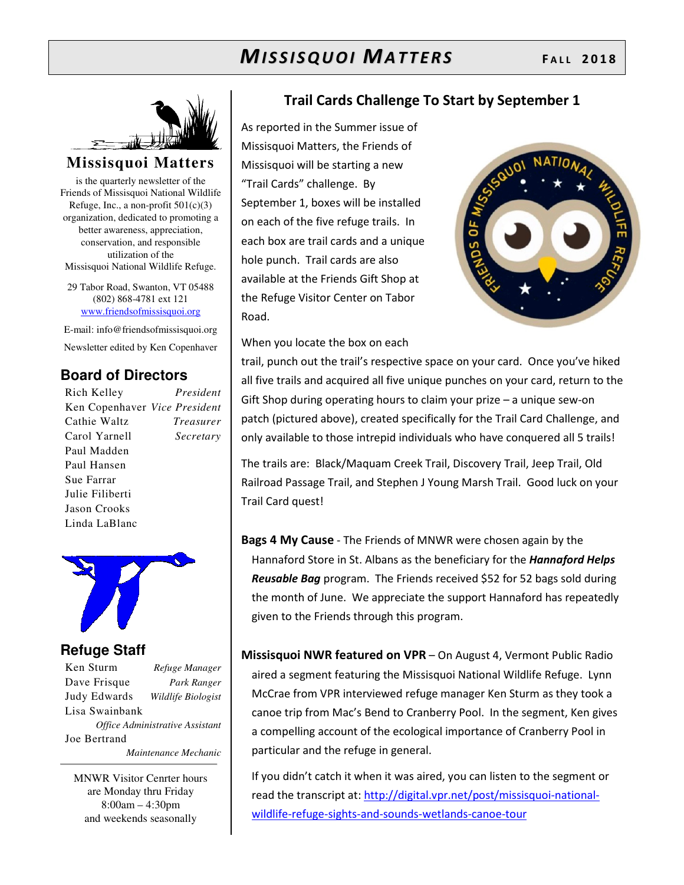

#### **Missisquoi Matters**

is the quarterly newsletter of the Friends of Missisquoi National Wildlife Refuge, Inc., a non-profit  $501(c)(3)$ organization, dedicated to promoting a better awareness, appreciation, conservation, and responsible utilization of the Missisquoi National Wildlife Refuge.

29 Tabor Road, Swanton, VT 05488 (802) 868-4781 ext 121 www.friendsofmissisquoi.org

E-mail: info@friendsofmissisquoi.org Newsletter edited by Ken Copenhaver

#### **Board of Directors**

Rich Kelley *President* Ken Copenhaver *Vice President* Cathie Waltz *Treasurer* Carol Yarnell *Secretary*  Paul Madden Paul Hansen Sue Farrar Julie Filiberti Jason Crooks Linda LaBlanc



#### **Refuge Staff**

Ken Sturm *Refuge Manager* Dave Frisque *Park Ranger* Judy Edwards *Wildlife Biologist* Lisa Swainbank *Office Administrative Assistant*  Joe Bertrand  *Maintenance Mechanic*

MNWR Visitor Cenrter hours are Monday thru Friday 8:00am – 4:30pm and weekends seasonally

#### **Trail Cards Challenge To Start by September 1**

As reported in the Summer issue of Missisquoi Matters, the Friends of Missisquoi will be starting a new "Trail Cards" challenge. By September 1, boxes will be installed on each of the five refuge trails. In each box are trail cards and a unique hole punch. Trail cards are also available at the Friends Gift Shop at the Refuge Visitor Center on Tabor Road.



When you locate the box on each

trail, punch out the trail's respective space on your card. Once you've hiked all five trails and acquired all five unique punches on your card, return to the Gift Shop during operating hours to claim your prize – a unique sew-on patch (pictured above), created specifically for the Trail Card Challenge, and only available to those intrepid individuals who have conquered all 5 trails!

The trails are: Black/Maquam Creek Trail, Discovery Trail, Jeep Trail, Old Railroad Passage Trail, and Stephen J Young Marsh Trail. Good luck on your Trail Card quest!

**Bags 4 My Cause** - The Friends of MNWR were chosen again by the Hannaford Store in St. Albans as the beneficiary for the *Hannaford Helps Reusable Bag* program. The Friends received \$52 for 52 bags sold during the month of June. We appreciate the support Hannaford has repeatedly given to the Friends through this program.

**Missisquoi NWR featured on VPR** – On August 4, Vermont Public Radio aired a segment featuring the Missisquoi National Wildlife Refuge. Lynn McCrae from VPR interviewed refuge manager Ken Sturm as they took a canoe trip from Mac's Bend to Cranberry Pool. In the segment, Ken gives a compelling account of the ecological importance of Cranberry Pool in particular and the refuge in general.

If you didn't catch it when it was aired, you can listen to the segment or read the transcript at: http://digital.vpr.net/post/missisquoi-nationalwildlife-refuge-sights-and-sounds-wetlands-canoe-tour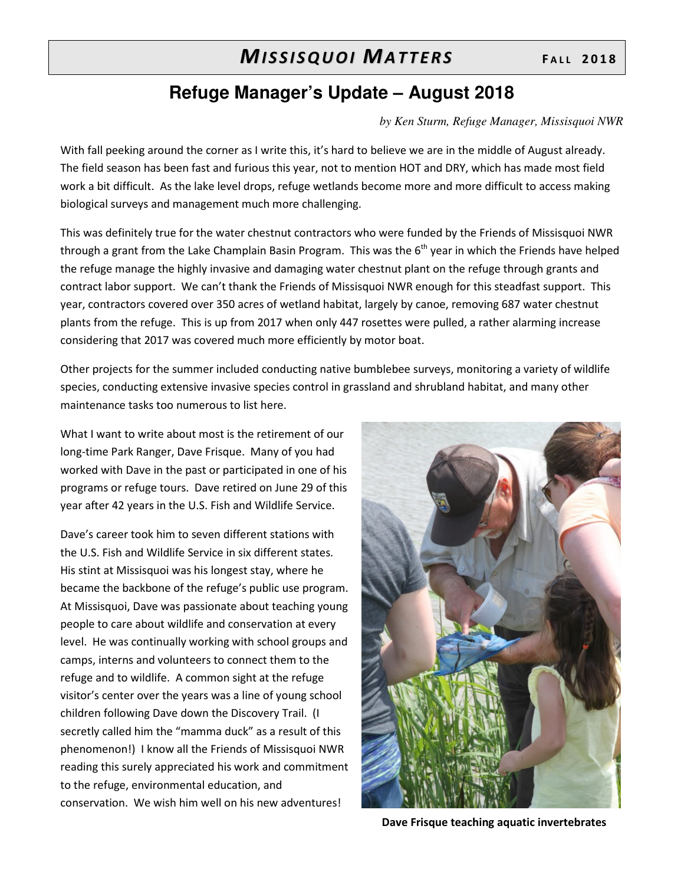### **Refuge Manager's Update – August 2018**

#### *by Ken Sturm, Refuge Manager, Missisquoi NWR*

With fall peeking around the corner as I write this, it's hard to believe we are in the middle of August already. The field season has been fast and furious this year, not to mention HOT and DRY, which has made most field work a bit difficult. As the lake level drops, refuge wetlands become more and more difficult to access making biological surveys and management much more challenging.

This was definitely true for the water chestnut contractors who were funded by the Friends of Missisquoi NWR through a grant from the Lake Champlain Basin Program. This was the  $6<sup>th</sup>$  year in which the Friends have helped the refuge manage the highly invasive and damaging water chestnut plant on the refuge through grants and contract labor support. We can't thank the Friends of Missisquoi NWR enough for this steadfast support. This year, contractors covered over 350 acres of wetland habitat, largely by canoe, removing 687 water chestnut plants from the refuge. This is up from 2017 when only 447 rosettes were pulled, a rather alarming increase considering that 2017 was covered much more efficiently by motor boat.

Other projects for the summer included conducting native bumblebee surveys, monitoring a variety of wildlife species, conducting extensive invasive species control in grassland and shrubland habitat, and many other maintenance tasks too numerous to list here.

What I want to write about most is the retirement of our long-time Park Ranger, Dave Frisque. Many of you had worked with Dave in the past or participated in one of his programs or refuge tours. Dave retired on June 29 of this year after 42 years in the U.S. Fish and Wildlife Service.

Dave's career took him to seven different stations with the U.S. Fish and Wildlife Service in six different states. His stint at Missisquoi was his longest stay, where he became the backbone of the refuge's public use program. At Missisquoi, Dave was passionate about teaching young people to care about wildlife and conservation at every level. He was continually working with school groups and camps, interns and volunteers to connect them to the refuge and to wildlife. A common sight at the refuge visitor's center over the years was a line of young school children following Dave down the Discovery Trail. (I secretly called him the "mamma duck" as a result of this phenomenon!) I know all the Friends of Missisquoi NWR reading this surely appreciated his work and commitment to the refuge, environmental education, and conservation. We wish him well on his new adventures!



**Dave Frisque teaching aquatic invertebrates**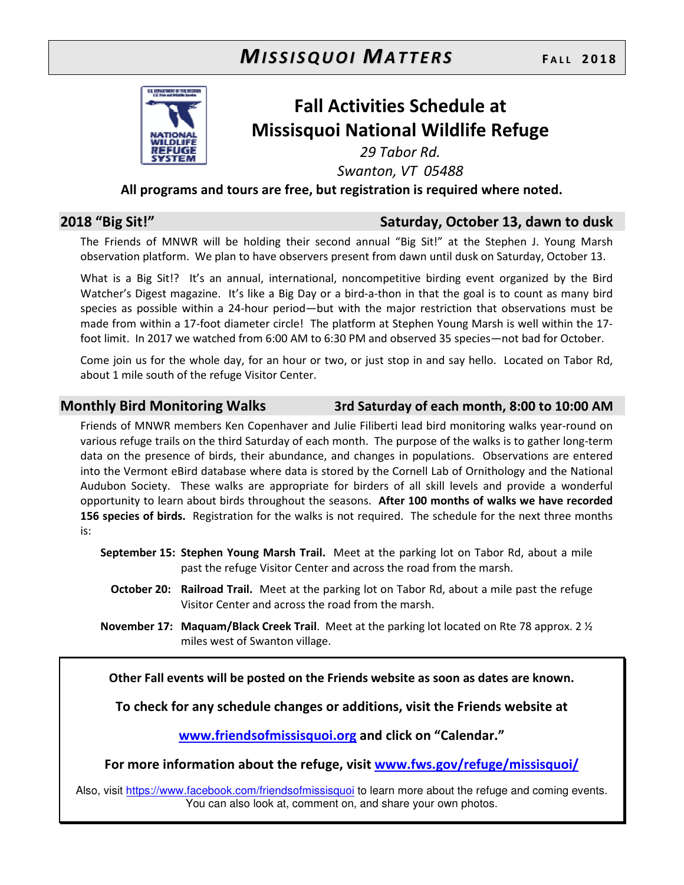

## **Fall Activities Schedule at Missisquoi National Wildlife Refuge**

*29 Tabor Rd.* 

*Swanton, VT 05488* 

**All programs and tours are free, but registration is required where noted.** 

#### **2018 "Big Sit!" Saturday, October 13, dawn to dusk**

The Friends of MNWR will be holding their second annual "Big Sit!" at the Stephen J. Young Marsh observation platform. We plan to have observers present from dawn until dusk on Saturday, October 13.

What is a Big Sit!? It's an annual, international, noncompetitive birding event organized by the Bird Watcher's Digest magazine. It's like a Big Day or a bird-a-thon in that the goal is to count as many bird species as possible within a 24-hour period—but with the major restriction that observations must be made from within a 17-foot diameter circle! The platform at Stephen Young Marsh is well within the 17 foot limit. In 2017 we watched from 6:00 AM to 6:30 PM and observed 35 species—not bad for October.

Come join us for the whole day, for an hour or two, or just stop in and say hello. Located on Tabor Rd, about 1 mile south of the refuge Visitor Center.

#### **Monthly Bird Monitoring Walks 3rd Saturday of each month, 8:00 to 10:00 AM**

Friends of MNWR members Ken Copenhaver and Julie Filiberti lead bird monitoring walks year-round on various refuge trails on the third Saturday of each month. The purpose of the walks is to gather long-term data on the presence of birds, their abundance, and changes in populations. Observations are entered into the Vermont eBird database where data is stored by the Cornell Lab of Ornithology and the National Audubon Society. These walks are appropriate for birders of all skill levels and provide a wonderful opportunity to learn about birds throughout the seasons. **After 100 months of walks we have recorded 156 species of birds.** Registration for the walks is not required. The schedule for the next three months is:

**September 15: Stephen Young Marsh Trail.** Meet at the parking lot on Tabor Rd, about a mile past the refuge Visitor Center and across the road from the marsh.

- **October 20: Railroad Trail.** Meet at the parking lot on Tabor Rd, about a mile past the refuge Visitor Center and across the road from the marsh.
- **November 17: Maquam/Black Creek Trail**. Meet at the parking lot located on Rte 78 approx. 2 ½ miles west of Swanton village.

**Other Fall events will be posted on the Friends website as soon as dates are known.** 

**To check for any schedule changes or additions, visit the Friends website at** 

**www.friendsofmissisquoi.org and click on "Calendar."** 

**For more information about the refuge, visit www.fws.gov/refuge/missisquoi/**

Also, visit https://www.facebook.com/friendsofmissisquoi to learn more about the refuge and coming events. You can also look at, comment on, and share your own photos.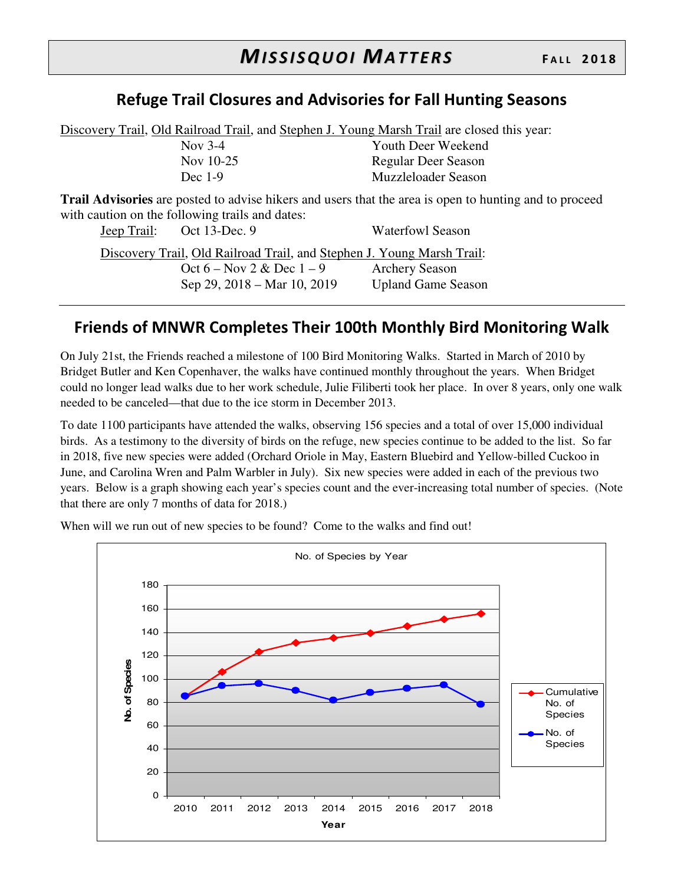#### **Refuge Trail Closures and Advisories for Fall Hunting Seasons**

Discovery Trail, Old Railroad Trail, and Stephen J. Young Marsh Trail are closed this year: Nov 3-4 Youth Deer Weekend Nov 10-25 Regular Deer Season Dec 1-9 Muzzleloader Season

**Trail Advisories** are posted to advise hikers and users that the area is open to hunting and to proceed with caution on the following trails and dates:<br>
Leep Trail: Oct 13-Dec 9 Jeep Trail: Oct 13-Dec. 9 Waterfowl Season

|  | $\sqrt{2}$                  |                                                                        |
|--|-----------------------------|------------------------------------------------------------------------|
|  |                             | Discovery Trail, Old Railroad Trail, and Stephen J. Young Marsh Trail: |
|  | Oct $6 - Now 2 & Dec 1 - 9$ | <b>Archery Season</b>                                                  |
|  | Sep 29, 2018 – Mar 10, 2019 | <b>Upland Game Season</b>                                              |

#### **Friends of MNWR Completes Their 100th Monthly Bird Monitoring Walk**

On July 21st, the Friends reached a milestone of 100 Bird Monitoring Walks. Started in March of 2010 by Bridget Butler and Ken Copenhaver, the walks have continued monthly throughout the years. When Bridget could no longer lead walks due to her work schedule, Julie Filiberti took her place. In over 8 years, only one walk needed to be canceled—that due to the ice storm in December 2013.

To date 1100 participants have attended the walks, observing 156 species and a total of over 15,000 individual birds. As a testimony to the diversity of birds on the refuge, new species continue to be added to the list. So far in 2018, five new species were added (Orchard Oriole in May, Eastern Bluebird and Yellow-billed Cuckoo in June, and Carolina Wren and Palm Warbler in July). Six new species were added in each of the previous two years. Below is a graph showing each year's species count and the ever-increasing total number of species. (Note that there are only 7 months of data for 2018.)



When will we run out of new species to be found? Come to the walks and find out!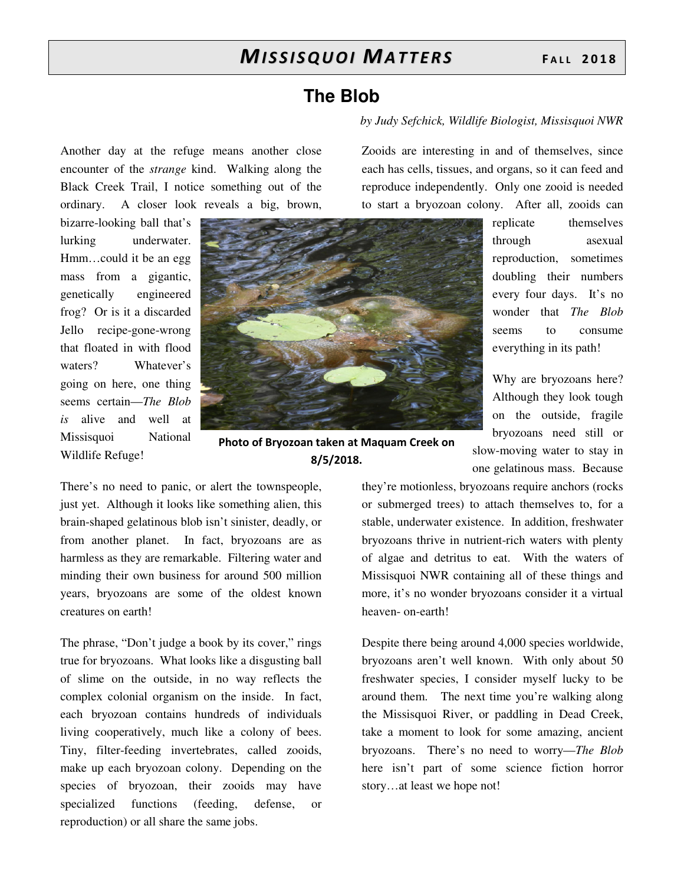### **The Blob**

#### *by Judy Sefchick, Wildlife Biologist, Missisquoi NWR*

Another day at the refuge means another close encounter of the *strange* kind. Walking along the Black Creek Trail, I notice something out of the ordinary. A closer look reveals a big, brown,

bizarre-looking ball that's lurking underwater. Hmm…could it be an egg mass from a gigantic, genetically engineered frog? Or is it a discarded Jello recipe-gone-wrong that floated in with flood waters? Whatever's going on here, one thing seems certain—*The Blob is* alive and well at Missisquoi National Wildlife Refuge!



**Photo of Bryozoan taken at Maquam Creek on 8/5/2018.** 

There's no need to panic, or alert the townspeople, just yet. Although it looks like something alien, this brain-shaped gelatinous blob isn't sinister, deadly, or from another planet. In fact, bryozoans are as harmless as they are remarkable. Filtering water and minding their own business for around 500 million years, bryozoans are some of the oldest known creatures on earth!

The phrase, "Don't judge a book by its cover," rings true for bryozoans. What looks like a disgusting ball of slime on the outside, in no way reflects the complex colonial organism on the inside. In fact, each bryozoan contains hundreds of individuals living cooperatively, much like a colony of bees. Tiny, filter-feeding invertebrates, called zooids, make up each bryozoan colony. Depending on the species of bryozoan, their zooids may have specialized functions (feeding, defense, or reproduction) or all share the same jobs.

Zooids are interesting in and of themselves, since each has cells, tissues, and organs, so it can feed and reproduce independently. Only one zooid is needed to start a bryozoan colony. After all, zooids can

> replicate themselves through asexual reproduction, sometimes doubling their numbers every four days. It's no wonder that *The Blob* seems to consume everything in its path!

Why are bryozoans here? Although they look tough on the outside, fragile bryozoans need still or slow-moving water to stay in one gelatinous mass. Because

they're motionless, bryozoans require anchors (rocks or submerged trees) to attach themselves to, for a stable, underwater existence. In addition, freshwater bryozoans thrive in nutrient-rich waters with plenty of algae and detritus to eat. With the waters of Missisquoi NWR containing all of these things and more, it's no wonder bryozoans consider it a virtual heaven- on-earth!

Despite there being around 4,000 species worldwide, bryozoans aren't well known. With only about 50 freshwater species, I consider myself lucky to be around them. The next time you're walking along the Missisquoi River, or paddling in Dead Creek, take a moment to look for some amazing, ancient bryozoans. There's no need to worry—*The Blob*  here isn't part of some science fiction horror story…at least we hope not!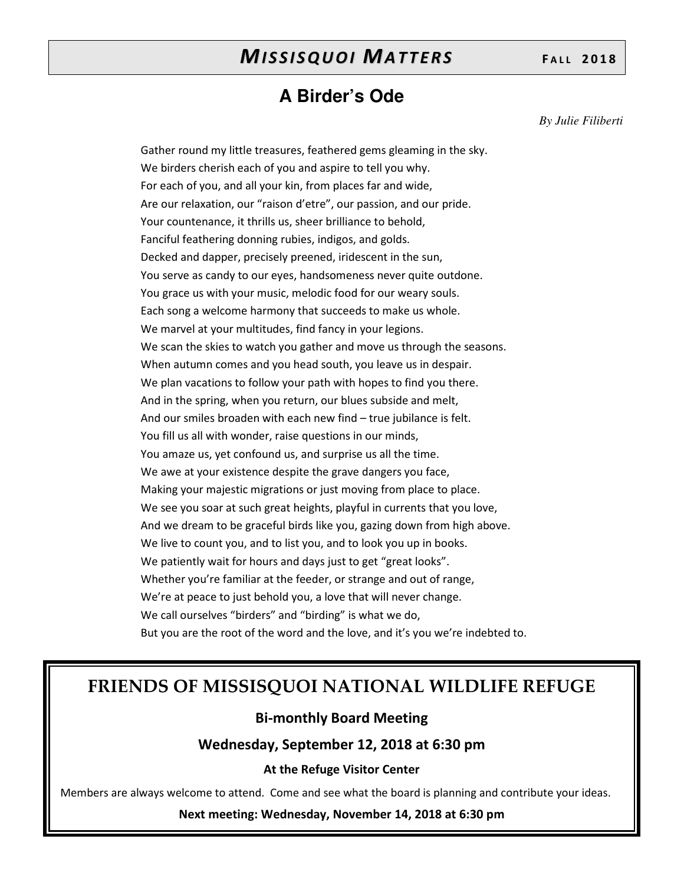### **A Birder's Ode**

*By Julie Filiberti* 

Gather round my little treasures, feathered gems gleaming in the sky. We birders cherish each of you and aspire to tell you why. For each of you, and all your kin, from places far and wide, Are our relaxation, our "raison d'etre", our passion, and our pride. Your countenance, it thrills us, sheer brilliance to behold, Fanciful feathering donning rubies, indigos, and golds. Decked and dapper, precisely preened, iridescent in the sun, You serve as candy to our eyes, handsomeness never quite outdone. You grace us with your music, melodic food for our weary souls. Each song a welcome harmony that succeeds to make us whole. We marvel at your multitudes, find fancy in your legions. We scan the skies to watch you gather and move us through the seasons. When autumn comes and you head south, you leave us in despair. We plan vacations to follow your path with hopes to find you there. And in the spring, when you return, our blues subside and melt, And our smiles broaden with each new find – true jubilance is felt. You fill us all with wonder, raise questions in our minds, You amaze us, yet confound us, and surprise us all the time. We awe at your existence despite the grave dangers you face, Making your majestic migrations or just moving from place to place. We see you soar at such great heights, playful in currents that you love, And we dream to be graceful birds like you, gazing down from high above. We live to count you, and to list you, and to look you up in books. We patiently wait for hours and days just to get "great looks". Whether you're familiar at the feeder, or strange and out of range, We're at peace to just behold you, a love that will never change. We call ourselves "birders" and "birding" is what we do, But you are the root of the word and the love, and it's you we're indebted to.

### **FRIENDS OF MISSISQUOI NATIONAL WILDLIFE REFUGE**

#### **Bi-monthly Board Meeting**

**Wednesday, September 12, 2018 at 6:30 pm** 

#### **At the Refuge Visitor Center**

Members are always welcome to attend. Come and see what the board is planning and contribute your ideas.

**Next meeting: Wednesday, November 14, 2018 at 6:30 pm**